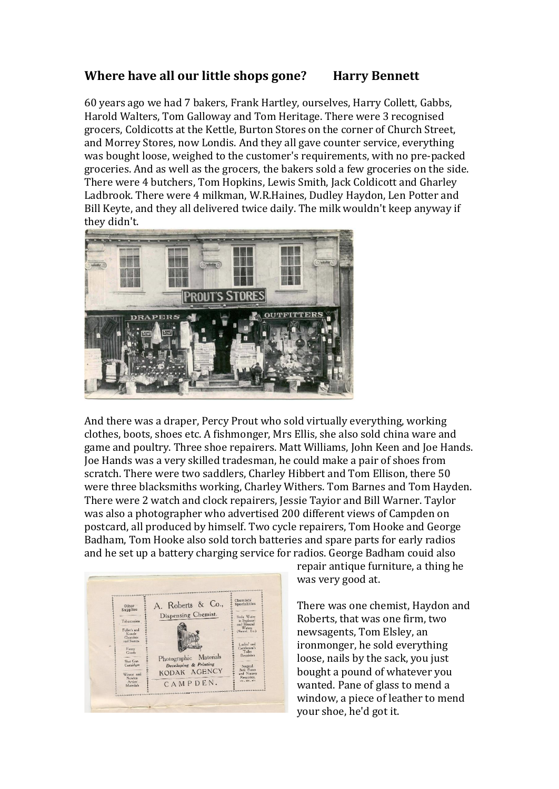## **Where have all our little shops gone? Harry Bennett**

60 years ago we had 7 bakers, Frank Hartley, ourselves, Harry Collett, Gabbs, Harold Walters, Tom Galloway and Tom Heritage. There were 3 recognised grocers, Coldicotts at the Kettle, Burton Stores on the corner of Church Street, and Morrey Stores, now Londis. And they all gave counter service, everything was bought loose, weighed to the customer's requirements, with no pre-packed groceries. And as well as the grocers, the bakers sold a few groceries on the side. There were 4 butchers, Tom Hopkins, Lewis Smith, Jack Coldicott and Gharley Ladbrook. There were 4 milkman, W.R.Haines, Dudley Haydon, Len Potter and Bill Keyte, and they all delivered twice daily. The milk wouldn't keep anyway if they didn't.



And there was a draper, Percy Prout who sold virtually everything, working clothes, boots, shoes etc. A fishmonger, Mrs Ellis, she also sold china ware and game and poultry. Three shoe repairers. Matt Williams, John Keen and Joe Hands. Joe Hands was a very skilled tradesman, he could make a pair of shoes from scratch. There were two saddlers, Charley Hibbert and Tom Ellison, there 50 were three blacksmiths working, Charley Withers. Tom Barnes and Tom Hayden. There were 2 watch and clock repairers, Jessie Tayior and Bill Warner. Taylor was also a photographer who advertised 200 different views of Campden on postcard, all produced by himself. Two cycle repairers, Tom Hooke and George Badham, Tom Hooke also sold torch batteries and spare parts for early radios and he set up a battery charging service for radios. George Badham couid also



repair antique furniture, a thing he was very good at.

There was one chemist, Haydon and Roberts, that was one firm, two newsagents, Tom Elsley, an ironmonger, he sold everything loose, nails by the sack, you just bought a pound of whatever you wanted. Pane of glass to mend a window, a piece of leather to mend your shoe, he'd got it.